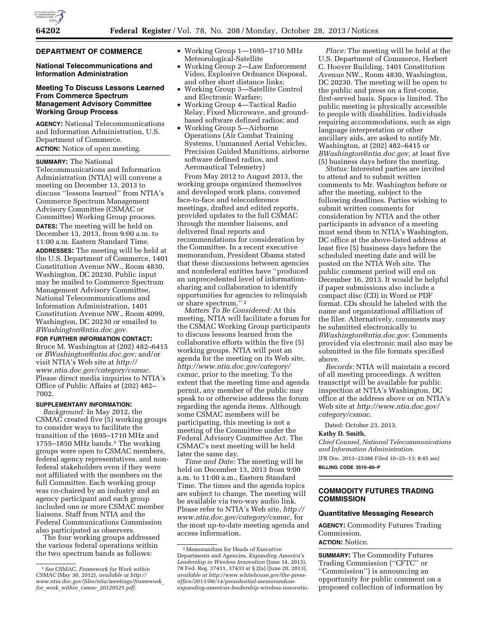#### **DEPARTMENT OF COMMERCE**

# **National Telecommunications and Information Administration**

# **Meeting To Discuss Lessons Learned From Commerce Spectrum Management Advisory Committee Working Group Process**

**AGENCY:** National Telecommunications and Information Administration, U.S. Department of Commerce.

**ACTION:** Notice of open meeting.

**SUMMARY:** The National Telecommunications and Information Administration (NTIA) will convene a meeting on December 13, 2013 to discuss ''lessons learned'' from NTIA's Commerce Spectrum Management Advisory Committee (CSMAC or Committee) Working Group process. **DATES:** The meeting will be held on December 13, 2013, from 9:00 a.m. to 11:00 a.m. Eastern Standard Time. **ADDRESSES:** The meeting will be held at the U.S. Department of Commerce, 1401 Constitution Avenue NW., Room 4830, Washington, DC 20230. Public input may be mailed to Commerce Spectrum Management Advisory Committee, National Telecommunications and Information Administration, 1401 Constitution Avenue NW., Room 4099, Washington, DC 20230 or emailed to *[BWashington@ntia.doc.gov.](mailto:BWashington@ntia.doc.gov)* 

**FOR FURTHER INFORMATION CONTACT:** 

Bruce M. Washington at (202) 482–6415 or *[BWashington@ntia.doc.gov;](mailto:BWashington@ntia.doc.gov)* and/or visit NTIA's Web site at *[http://](http://www.ntia.doc.gov/category/csmac) [www.ntia.doc.gov/category/csmac.](http://www.ntia.doc.gov/category/csmac)*  Please direct media inquiries to NTIA's Office of Public Affairs at (202) 482– 7002.

#### **SUPPLEMENTARY INFORMATION:**

*Background:* In May 2012, the CSMAC created five (5) working groups to consider ways to facilitate the transition of the 1695–1710 MHz and 1755–1850 MHz bands.1 The working groups were open to CSMAC members, federal agency representatives, and nonfederal stakeholders even if they were not affiliated with the members on the full Committee. Each working group was co-chaired by an industry and an agency participant and each group included one or more CSMAC member liaisons. Staff from NTIA and the Federal Communications Commission also participated as observers.

The four working groups addressed the various federal operations within the two spectrum bands as follows:

- Working Group 1—1695–1710 MHz Meteorological-Satellite
- Working Group 2—Law Enforcement Video, Explosive Ordnance Disposal, and other short distance links;
- Working Group 3—Satellite Control and Electronic Warfare;
- Working Group 4—Tactical Radio Relay, Fixed Microwave, and groundbased software defined radios; and
- Working Group 5—Airborne Operations (Air Combat Training Systems, Unmanned Aerial Vehicles, Precision Guided Munitions, airborne software defined radios, and Aeronautical Telemetry)

From May 2012 to August 2013, the working groups organized themselves and developed work plans, convened face-to-face and teleconference meetings, drafted and edited reports, provided updates to the full CSMAC through the member liaisons, and delivered final reports and recommendations for consideration by the Committee. In a recent executive memorandum, President Obama stated that these discussions between agencies and nonfederal entities have ''produced an unprecedented level of informationsharing and collaboration to identify opportunities for agencies to relinquish or share spectrum.'' 2

*Matters To Be Considered:* At this meeting, NTIA will facilitate a forum for the CSMAC Working Group participants to discuss lessons learned from the collaborative efforts within the five (5) working groups. NTIA will post an agenda for the meeting on its Web site, *[http://www.ntia.doc.gov/category/](http://www.ntia.doc.gov/category/csmac) [csmac,](http://www.ntia.doc.gov/category/csmac)* prior to the meeting. To the extent that the meeting time and agenda permit, any member of the public may speak to or otherwise address the forum regarding the agenda items. Although some CSMAC members will be participating, this meeting is not a meeting of the Committee under the Federal Advisory Committee Act. The CSMAC's next meeting will be held later the same day.

*Time and Date:* The meeting will be held on December 13, 2013 from 9:00 a.m. to 11:00 a.m., Eastern Standard Time. The times and the agenda topics are subject to change. The meeting will be available via two-way audio link. Please refer to NTIA's Web site, *[http://](http://www.ntia.doc.gov/category/csmac) [www.ntia.doc.gov/category/csmac,](http://www.ntia.doc.gov/category/csmac)* for the most up-to-date meeting agenda and access information.

*Place:* The meeting will be held at the U.S. Department of Commerce, Herbert C. Hoover Building, 1401 Constitution Avenue NW., Room 4830, Washington, DC 20230. The meeting will be open to the public and press on a first-come, first-served basis. Space is limited. The public meeting is physically accessible to people with disabilities. Individuals requiring accommodations, such as sign language interpretation or other ancillary aids, are asked to notify Mr. Washington, at (202) 482–6415 or *[BWashington@ntia.doc.gov,](mailto:BWashington@ntia.doc.gov)* at least five (5) business days before the meeting.

*Status:* Interested parties are invited to attend and to submit written comments to Mr. Washington before or after the meeting, subject to the following deadlines. Parties wishing to submit written comments for consideration by NTIA and the other participants in advance of a meeting must send them to NTIA's Washington, DC office at the above-listed address at least five (5) business days before the scheduled meeting date and will be posted on the NTIA Web site. The public comment period will end on December 16, 2013. It would be helpful if paper submissions also include a compact disc (CD) in Word or PDF format. CDs should be labeled with the name and organizational affiliation of the filer. Alternatively, comments may be submitted electronically to *[BWashington@ntia.doc.gov.](mailto:BWashington@ntia.doc.gov)* Comments provided via electronic mail also may be submitted in the file formats specified above.

*Records:* NTIA will maintain a record of all meeting proceedings. A written transcript will be available for public inspection at NTIA's Washington, DC office at the address above or on NTIA's Web site at *[http://www.ntia.doc.gov/](http://www.ntia.doc.gov/category/csmac) [category/csmac.](http://www.ntia.doc.gov/category/csmac)* 

Dated: October 23, 2013.

#### **Kathy D. Smith,**

*Chief Counsel, National Telecommunications and Information Administration.*  [FR Doc. 2013–25388 Filed 10–25–13; 8:45 am]

**BILLING CODE 3510–60–P** 

## **COMMODITY FUTURES TRADING COMMISSION**

#### **Quantitative Messaging Research**

**AGENCY:** Commodity Futures Trading Commission.

# **ACTION:** Notice.

**SUMMARY:** The Commodity Futures Trading Commission (''CFTC'' or ''Commission'') is announcing an opportunity for public comment on a proposed collection of information by

<sup>1</sup>*See* CSMAC, *Framework for Work within CSMAC* (May 30, 2012), *available at [http://](http://www.ntia.doc.gov/files/ntia/meetings/framework_for_work_within_csmac_20120525.pdf) [www.ntia.doc.gov/files/ntia/meetings/framework](http://www.ntia.doc.gov/files/ntia/meetings/framework_for_work_within_csmac_20120525.pdf)*\_ *for*\_*work*\_*within*\_*csmac*\_*[20120525.pdf.](http://www.ntia.doc.gov/files/ntia/meetings/framework_for_work_within_csmac_20120525.pdf)* 

<sup>2</sup>Memorandum for Heads of Executive Departments and Agencies, *Expanding America's Leadership in Wireless Innovation* (June 14, 2013), 78 Fed. Reg. 37431, 37433 at § 2(a) (June 20, 2013), *available at [http://www.whitehouse.gov/the-press](http://www.whitehouse.gov/the-press-office/2013/06/14/presidential-memorandum-expanding-americas-leadership-wireless-innovatio)[office/2013/06/14/presidential-memorandum](http://www.whitehouse.gov/the-press-office/2013/06/14/presidential-memorandum-expanding-americas-leadership-wireless-innovatio)[expanding-americas-leadership-wireless-innovatio.](http://www.whitehouse.gov/the-press-office/2013/06/14/presidential-memorandum-expanding-americas-leadership-wireless-innovatio)*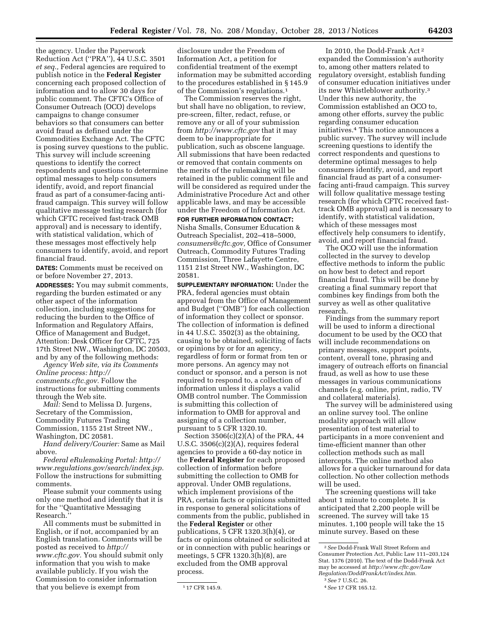the agency. Under the Paperwork Reduction Act (''PRA''), 44 U.S.C. 3501 *et seq.,* Federal agencies are required to publish notice in the **Federal Register**  concerning each proposed collection of information and to allow 30 days for public comment. The CFTC's Office of Consumer Outreach (OCO) develops campaigns to change consumer behaviors so that consumers can better avoid fraud as defined under the Commodities Exchange Act. The CFTC is posing survey questions to the public. This survey will include screening questions to identify the correct respondents and questions to determine optimal messages to help consumers identify, avoid, and report financial fraud as part of a consumer-facing antifraud campaign. This survey will follow qualitative message testing research (for which CFTC received fast-track OMB approval) and is necessary to identify, with statistical validation, which of these messages most effectively help consumers to identify, avoid, and report financial fraud.

**DATES:** Comments must be received on or before November 27, 2013.

**ADDRESSES:** You may submit comments, regarding the burden estimated or any other aspect of the information collection, including suggestions for reducing the burden to the Office of Information and Regulatory Affairs, Office of Management and Budget, Attention: Desk Officer for CFTC, 725 17th Street NW., Washington, DC 20503, and by any of the following methods:

*Agency Web site, via its Comments Online process: [http://](http://comments.cftc.gov) [comments.cftc.gov.](http://comments.cftc.gov)* Follow the instructions for submitting comments through the Web site.

*Mail:* Send to Melissa D. Jurgens, Secretary of the Commission, Commodity Futures Trading Commission, 1155 21st Street NW., Washington, DC 20581.

*Hand delivery/Courier:* Same as Mail above.

*Federal eRulemaking Portal: [http://](http://www.regulations.gov/search/index.jsp)  [www.regulations.gov/search/index.jsp.](http://www.regulations.gov/search/index.jsp)*  Follow the instructions for submitting comments.

Please submit your comments using only one method and identify that it is for the ''Quantitative Messaging Research.''

All comments must be submitted in English, or if not, accompanied by an English translation. Comments will be posted as received to *[http://](http://www.cftc.gov) [www.cftc.gov.](http://www.cftc.gov)* You should submit only information that you wish to make available publicly. If you wish the Commission to consider information that you believe is exempt from

disclosure under the Freedom of Information Act, a petition for confidential treatment of the exempt information may be submitted according to the procedures established in § 145.9 of the Commission's regulations.1

The Commission reserves the right, but shall have no obligation, to review, pre-screen, filter, redact, refuse, or remove any or all of your submission from *<http://www.cftc.gov>* that it may deem to be inappropriate for publication, such as obscene language. All submissions that have been redacted or removed that contain comments on the merits of the rulemaking will be retained in the public comment file and will be considered as required under the Administrative Procedure Act and other applicable laws, and may be accessible under the Freedom of Information Act.

**FOR FURTHER INFORMATION CONTACT:**  Nisha Smalls, Consumer Education & Outreach Specialist, 202–418–5000, *[consumers@cftc.gov,](mailto:consumers@cftc.gov)* Office of Consumer Outreach, Commodity Futures Trading Commission, Three Lafayette Centre, 1151 21st Street NW., Washington, DC 20581.

**SUPPLEMENTARY INFORMATION:** Under the PRA, federal agencies must obtain approval from the Office of Management and Budget (''OMB'') for each collection of information they collect or sponsor. The collection of information is defined in 44 U.S.C. 3502(3) as the obtaining, causing to be obtained, soliciting of facts or opinions by or for an agency, regardless of form or format from ten or more persons. An agency may not conduct or sponsor, and a person is not required to respond to, a collection of information unless it displays a valid OMB control number. The Commission is submitting this collection of information to OMB for approval and assigning of a collection number, pursuant to 5 CFR 1320.10.

Section 3506(c)(2)(A) of the PRA, 44 U.S.C. 3506(c)(2)(A), requires federal agencies to provide a 60-day notice in the **Federal Register** for each proposed collection of information before submitting the collection to OMB for approval. Under OMB regulations, which implement provisions of the PRA, certain facts or opinions submitted in response to general solicitations of comments from the public, published in the **Federal Register** or other publications, 5 CFR 1320.3(h)(4), or facts or opinions obtained or solicited at or in connection with public hearings or meetings, 5 CFR 1320.3(h)(8), are excluded from the OMB approval process.

In 2010, the Dodd-Frank Act 2 expanded the Commission's authority to, among other matters related to regulatory oversight, establish funding of consumer education initiatives under its new Whistleblower authority.3 Under this new authority, the Commission established an OCO to, among other efforts, survey the public regarding consumer education initiatives.4 This notice announces a public survey. The survey will include screening questions to identify the correct respondents and questions to determine optimal messages to help consumers identify, avoid, and report financial fraud as part of a consumerfacing anti-fraud campaign. This survey will follow qualitative message testing research (for which CFTC received fasttrack OMB approval) and is necessary to identify, with statistical validation, which of these messages most effectively help consumers to identify, avoid, and report financial fraud.

The OCO will use the information collected in the survey to develop effective methods to inform the public on how best to detect and report financial fraud. This will be done by creating a final summary report that combines key findings from both the survey as well as other qualitative research.

Findings from the summary report will be used to inform a directional document to be used by the OCO that will include recommendations on primary messages, support points, content, overall tone, phrasing and imagery of outreach efforts on financial fraud, as well as how to use these messages in various communications channels (e.g. online, print, radio, TV and collateral materials).

The survey will be administered using an online survey tool. The online modality approach will allow presentation of test material to participants in a more convenient and time-efficient manner than other collection methods such as mall intercepts. The online method also allows for a quicker turnaround for data collection. No other collection methods will be used.

The screening questions will take about 1 minute to complete. It is anticipated that 2,200 people will be screened. The survey will take 15 minutes. 1,100 people will take the 15 minute survey. Based on these

<sup>1</sup> 17 CFR 145.9.

<sup>2</sup>*See* Dodd-Frank Wall Street Reform and Consumer Protection Act, Public Law 111–203,124 Stat. 1376 (2010). The text of the Dodd-Frank Act may be accessed at *[http://www.cftc.gov/Law](http://www.cftc.gov/LawRegulation/DoddFrankAct/index.htm) [Regulation/DoddFrankAct/index.htm.](http://www.cftc.gov/LawRegulation/DoddFrankAct/index.htm)* 

<sup>3</sup>*See* 7 U.S.C. 26.

<sup>4</sup>*See* 17 CFR 165.12.